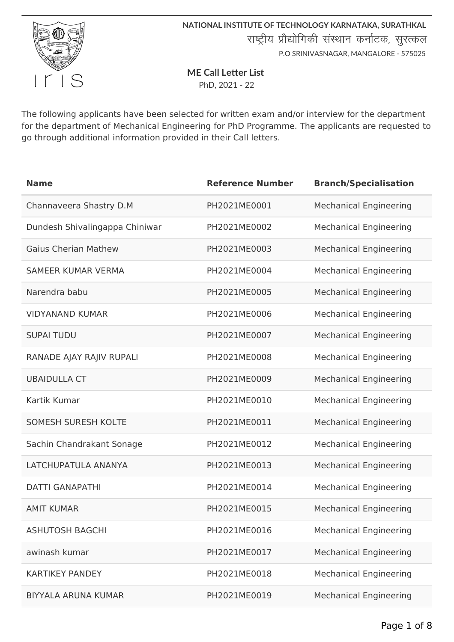

**ME Call Letter List**

PhD, 2021 - 22

The following applicants have been selected for written exam and/or interview for the department for the department of Mechanical Engineering for PhD Programme. The applicants are requested to go through additional information provided in their Call letters.

| <b>Name</b>                    | <b>Reference Number</b> | <b>Branch/Specialisation</b>  |
|--------------------------------|-------------------------|-------------------------------|
| Channaveera Shastry D.M        | PH2021ME0001            | <b>Mechanical Engineering</b> |
| Dundesh Shivalingappa Chiniwar | PH2021ME0002            | <b>Mechanical Engineering</b> |
| <b>Gaius Cherian Mathew</b>    | PH2021ME0003            | <b>Mechanical Engineering</b> |
| <b>SAMEER KUMAR VERMA</b>      | PH2021ME0004            | <b>Mechanical Engineering</b> |
| Narendra babu                  | PH2021ME0005            | <b>Mechanical Engineering</b> |
| <b>VIDYANAND KUMAR</b>         | PH2021ME0006            | <b>Mechanical Engineering</b> |
| <b>SUPAI TUDU</b>              | PH2021ME0007            | <b>Mechanical Engineering</b> |
| RANADE AJAY RAJIV RUPALI       | PH2021ME0008            | <b>Mechanical Engineering</b> |
| <b>UBAIDULLA CT</b>            | PH2021ME0009            | <b>Mechanical Engineering</b> |
| Kartik Kumar                   | PH2021ME0010            | <b>Mechanical Engineering</b> |
| <b>SOMESH SURESH KOLTE</b>     | PH2021ME0011            | <b>Mechanical Engineering</b> |
| Sachin Chandrakant Sonage      | PH2021ME0012            | <b>Mechanical Engineering</b> |
| LATCHUPATULA ANANYA            | PH2021ME0013            | <b>Mechanical Engineering</b> |
| <b>DATTI GANAPATHI</b>         | PH2021ME0014            | <b>Mechanical Engineering</b> |
| <b>AMIT KUMAR</b>              | PH2021ME0015            | <b>Mechanical Engineering</b> |
| <b>ASHUTOSH BAGCHI</b>         | PH2021ME0016            | <b>Mechanical Engineering</b> |
| awinash kumar                  | PH2021ME0017            | <b>Mechanical Engineering</b> |
| <b>KARTIKEY PANDEY</b>         | PH2021ME0018            | <b>Mechanical Engineering</b> |
| <b>BIYYALA ARUNA KUMAR</b>     | PH2021ME0019            | <b>Mechanical Engineering</b> |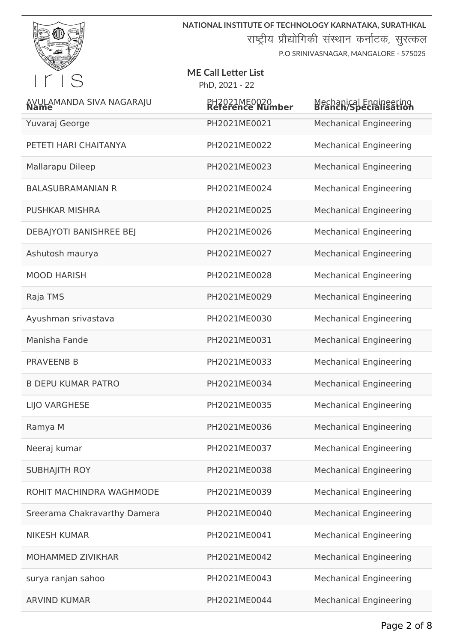

**NATIONAL INSTITUTE OF TECHNOLOGY KARNATAKA, SURATHKAL** राष्ट्रीय प्रौद्योगिकी संस्थान कर्नाटक, सुरत्कल

P.O SRINIVASNAGAR, MANGALORE - 575025

| AVULAMANDA SIVA NAGARAJU       | PH2021ME0020<br>Reference Number | Mechanical Engineering<br><b>Branch/Specialisation</b> |
|--------------------------------|----------------------------------|--------------------------------------------------------|
| Yuvaraj George                 | PH2021ME0021                     | <b>Mechanical Engineering</b>                          |
| PETETI HARI CHAITANYA          | PH2021ME0022                     | <b>Mechanical Engineering</b>                          |
| Mallarapu Dileep               | PH2021ME0023                     | <b>Mechanical Engineering</b>                          |
| <b>BALASUBRAMANIAN R</b>       | PH2021ME0024                     | <b>Mechanical Engineering</b>                          |
| <b>PUSHKAR MISHRA</b>          | PH2021ME0025                     | <b>Mechanical Engineering</b>                          |
| <b>DEBAJYOTI BANISHREE BEJ</b> | PH2021ME0026                     | <b>Mechanical Engineering</b>                          |
| Ashutosh maurya                | PH2021ME0027                     | <b>Mechanical Engineering</b>                          |
| <b>MOOD HARISH</b>             | PH2021ME0028                     | <b>Mechanical Engineering</b>                          |
| Raja TMS                       | PH2021ME0029                     | <b>Mechanical Engineering</b>                          |
| Ayushman srivastava            | PH2021ME0030                     | <b>Mechanical Engineering</b>                          |
| Manisha Fande                  | PH2021ME0031                     | <b>Mechanical Engineering</b>                          |
| <b>PRAVEENB B</b>              | PH2021ME0033                     | <b>Mechanical Engineering</b>                          |
| <b>B DEPU KUMAR PATRO</b>      | PH2021ME0034                     | <b>Mechanical Engineering</b>                          |
| <b>LIJO VARGHESE</b>           | PH2021ME0035                     | <b>Mechanical Engineering</b>                          |
| Ramya M                        | PH2021ME0036                     | <b>Mechanical Engineering</b>                          |
| Neeraj kumar                   | PH2021ME0037                     | <b>Mechanical Engineering</b>                          |
| <b>SUBHAJITH ROY</b>           | PH2021ME0038                     | <b>Mechanical Engineering</b>                          |
| ROHIT MACHINDRA WAGHMODE       | PH2021ME0039                     | <b>Mechanical Engineering</b>                          |
| Sreerama Chakravarthy Damera   | PH2021ME0040                     | <b>Mechanical Engineering</b>                          |
| <b>NIKESH KUMAR</b>            | PH2021ME0041                     | <b>Mechanical Engineering</b>                          |
| <b>MOHAMMED ZIVIKHAR</b>       | PH2021ME0042                     | <b>Mechanical Engineering</b>                          |
| surya ranjan sahoo             | PH2021ME0043                     | <b>Mechanical Engineering</b>                          |
| <b>ARVIND KUMAR</b>            | PH2021ME0044                     | <b>Mechanical Engineering</b>                          |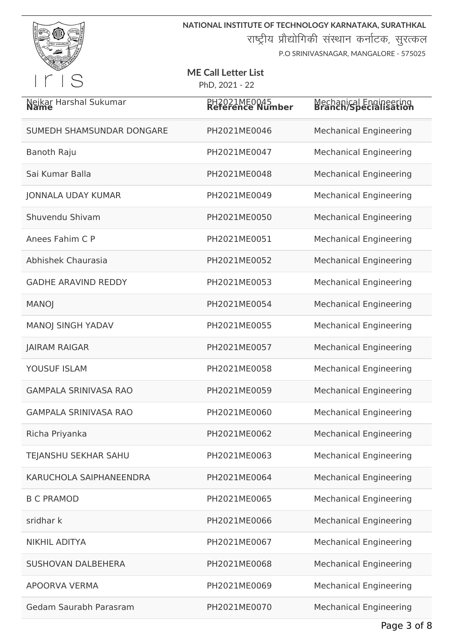

**NATIONAL INSTITUTE OF TECHNOLOGY KARNATAKA, SURATHKAL**

राष्ट्रीय प्रौद्योगिकी संस्थान कर्नाटक, सुरत्कल

P.O SRINIVASNAGAR, MANGALORE - 575025

| Nejkar Harshal Sukumar       | PH <sub>2021</sub> ME <sub>0045</sub><br>Reference Number | Mechanical Engineering<br><b>Branch/Specialisation</b> |
|------------------------------|-----------------------------------------------------------|--------------------------------------------------------|
| SUMEDH SHAMSUNDAR DONGARE    | PH2021ME0046                                              | <b>Mechanical Engineering</b>                          |
| <b>Banoth Raju</b>           | PH2021ME0047                                              | <b>Mechanical Engineering</b>                          |
| Sai Kumar Balla              | PH2021ME0048                                              | <b>Mechanical Engineering</b>                          |
| <b>JONNALA UDAY KUMAR</b>    | PH2021ME0049                                              | <b>Mechanical Engineering</b>                          |
| Shuvendu Shivam              | PH2021ME0050                                              | <b>Mechanical Engineering</b>                          |
| Anees Fahim C P              | PH2021ME0051                                              | <b>Mechanical Engineering</b>                          |
| Abhishek Chaurasia           | PH2021ME0052                                              | <b>Mechanical Engineering</b>                          |
| <b>GADHE ARAVIND REDDY</b>   | PH2021ME0053                                              | <b>Mechanical Engineering</b>                          |
| <b>MANOJ</b>                 | PH2021ME0054                                              | <b>Mechanical Engineering</b>                          |
| <b>MANOJ SINGH YADAV</b>     | PH2021ME0055                                              | <b>Mechanical Engineering</b>                          |
| <b>JAIRAM RAIGAR</b>         | PH2021ME0057                                              | <b>Mechanical Engineering</b>                          |
| YOUSUF ISLAM                 | PH2021ME0058                                              | <b>Mechanical Engineering</b>                          |
| <b>GAMPALA SRINIVASA RAO</b> | PH2021ME0059                                              | <b>Mechanical Engineering</b>                          |
| <b>GAMPALA SRINIVASA RAO</b> | PH2021ME0060                                              | <b>Mechanical Engineering</b>                          |
| Richa Priyanka               | PH2021ME0062                                              | <b>Mechanical Engineering</b>                          |
| TEJANSHU SEKHAR SAHU         | PH2021ME0063                                              | <b>Mechanical Engineering</b>                          |
| KARUCHOLA SAIPHANEENDRA      | PH2021ME0064                                              | <b>Mechanical Engineering</b>                          |
| <b>B C PRAMOD</b>            | PH2021ME0065                                              | <b>Mechanical Engineering</b>                          |
| sridhar k                    | PH2021ME0066                                              | <b>Mechanical Engineering</b>                          |
| <b>NIKHIL ADITYA</b>         | PH2021ME0067                                              | <b>Mechanical Engineering</b>                          |
| <b>SUSHOVAN DALBEHERA</b>    | PH2021ME0068                                              | <b>Mechanical Engineering</b>                          |
| <b>APOORVA VERMA</b>         | PH2021ME0069                                              | <b>Mechanical Engineering</b>                          |
| Gedam Saurabh Parasram       | PH2021ME0070                                              | <b>Mechanical Engineering</b>                          |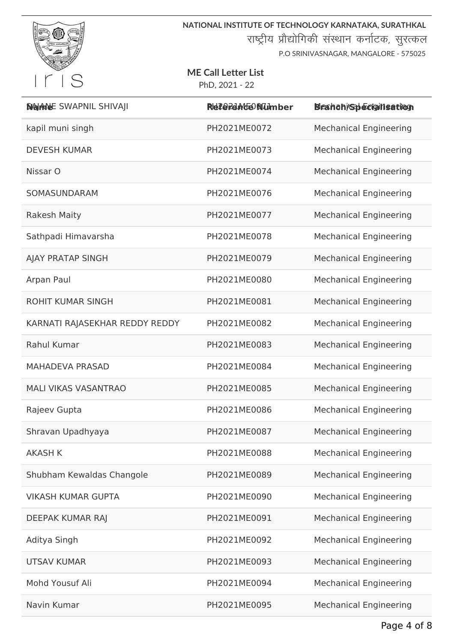

**NATIONAL INSTITUTE OF TECHNOLOGY KARNATAKA, SURATHKAL** राष्ट्रीय प्रौद्योगिकी संस्थान कर्नाटक, सुरत्कल

P.O SRINIVASNAGAR, MANGALORE - 575025

## **ME Call Letter List**

PhD, 2021 - 22

| <b>NAINE SWAPNIL SHIVAJI</b>   | Referente Number | Bleahah/Specigilisation       |
|--------------------------------|------------------|-------------------------------|
| kapil muni singh               | PH2021ME0072     | <b>Mechanical Engineering</b> |
| <b>DEVESH KUMAR</b>            | PH2021ME0073     | <b>Mechanical Engineering</b> |
| Nissar O                       | PH2021ME0074     | <b>Mechanical Engineering</b> |
| SOMASUNDARAM                   | PH2021ME0076     | <b>Mechanical Engineering</b> |
| <b>Rakesh Maity</b>            | PH2021ME0077     | <b>Mechanical Engineering</b> |
| Sathpadi Himavarsha            | PH2021ME0078     | <b>Mechanical Engineering</b> |
| AJAY PRATAP SINGH              | PH2021ME0079     | <b>Mechanical Engineering</b> |
| Arpan Paul                     | PH2021ME0080     | <b>Mechanical Engineering</b> |
| <b>ROHIT KUMAR SINGH</b>       | PH2021ME0081     | <b>Mechanical Engineering</b> |
| KARNATI RAJASEKHAR REDDY REDDY | PH2021ME0082     | <b>Mechanical Engineering</b> |
| Rahul Kumar                    | PH2021ME0083     | <b>Mechanical Engineering</b> |
| <b>MAHADEVA PRASAD</b>         | PH2021ME0084     | <b>Mechanical Engineering</b> |
| <b>MALI VIKAS VASANTRAO</b>    | PH2021ME0085     | <b>Mechanical Engineering</b> |
| Rajeev Gupta                   | PH2021ME0086     | <b>Mechanical Engineering</b> |
| Shravan Upadhyaya              | PH2021ME0087     | <b>Mechanical Engineering</b> |
| <b>AKASH K</b>                 | PH2021ME0088     | <b>Mechanical Engineering</b> |
| Shubham Kewaldas Changole      | PH2021ME0089     | <b>Mechanical Engineering</b> |
| <b>VIKASH KUMAR GUPTA</b>      | PH2021ME0090     | <b>Mechanical Engineering</b> |
| DEEPAK KUMAR RAJ               | PH2021ME0091     | <b>Mechanical Engineering</b> |
| Aditya Singh                   | PH2021ME0092     | <b>Mechanical Engineering</b> |
| <b>UTSAV KUMAR</b>             | PH2021ME0093     | <b>Mechanical Engineering</b> |
| Mohd Yousuf Ali                | PH2021ME0094     | <b>Mechanical Engineering</b> |
| Navin Kumar                    | PH2021ME0095     | <b>Mechanical Engineering</b> |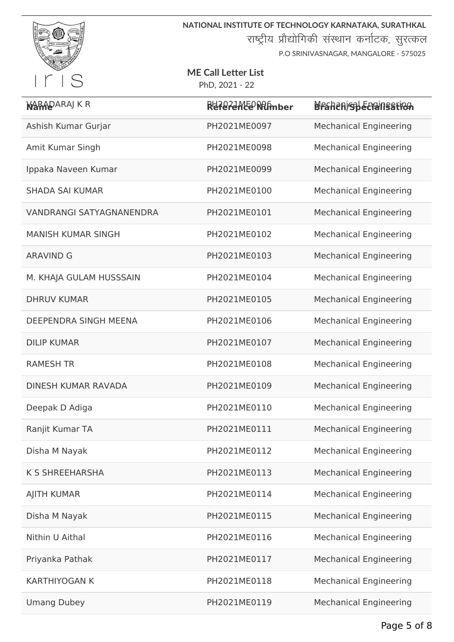

# **ME Call Letter List**

PhD, 2021 - 22

| <b>NARADARAJ K R</b>            | RdferdAlte Nimber | Brahan/sheem/nsation          |
|---------------------------------|-------------------|-------------------------------|
| Ashish Kumar Gurjar             | PH2021ME0097      | <b>Mechanical Engineering</b> |
| Amit Kumar Singh                | PH2021ME0098      | <b>Mechanical Engineering</b> |
| Ippaka Naveen Kumar             | PH2021ME0099      | <b>Mechanical Engineering</b> |
| <b>SHADA SAI KUMAR</b>          | PH2021ME0100      | <b>Mechanical Engineering</b> |
| <b>VANDRANGI SATYAGNANENDRA</b> | PH2021ME0101      | <b>Mechanical Engineering</b> |
| <b>MANISH KUMAR SINGH</b>       | PH2021ME0102      | <b>Mechanical Engineering</b> |
| <b>ARAVIND G</b>                | PH2021ME0103      | <b>Mechanical Engineering</b> |
| M. KHAJA GULAM HUSSSAIN         | PH2021ME0104      | <b>Mechanical Engineering</b> |
| <b>DHRUV KUMAR</b>              | PH2021ME0105      | <b>Mechanical Engineering</b> |
| <b>DEEPENDRA SINGH MEENA</b>    | PH2021ME0106      | <b>Mechanical Engineering</b> |
| <b>DILIP KUMAR</b>              | PH2021ME0107      | <b>Mechanical Engineering</b> |
| <b>RAMESH TR</b>                | PH2021ME0108      | <b>Mechanical Engineering</b> |
| <b>DINESH KUMAR RAVADA</b>      | PH2021ME0109      | <b>Mechanical Engineering</b> |
| Deepak D Adiga                  | PH2021ME0110      | <b>Mechanical Engineering</b> |
| Ranjit Kumar TA                 | PH2021ME0111      | <b>Mechanical Engineering</b> |
| Disha M Nayak                   | PH2021ME0112      | <b>Mechanical Engineering</b> |
| <b>K S SHREEHARSHA</b>          | PH2021ME0113      | <b>Mechanical Engineering</b> |
| <b>AJITH KUMAR</b>              | PH2021ME0114      | <b>Mechanical Engineering</b> |
| Disha M Nayak                   | PH2021ME0115      | <b>Mechanical Engineering</b> |
| Nithin U Aithal                 | PH2021ME0116      | <b>Mechanical Engineering</b> |
| Priyanka Pathak                 | PH2021ME0117      | <b>Mechanical Engineering</b> |
| <b>KARTHIYOGAN K</b>            | PH2021ME0118      | <b>Mechanical Engineering</b> |
| <b>Umang Dubey</b>              | PH2021ME0119      | <b>Mechanical Engineering</b> |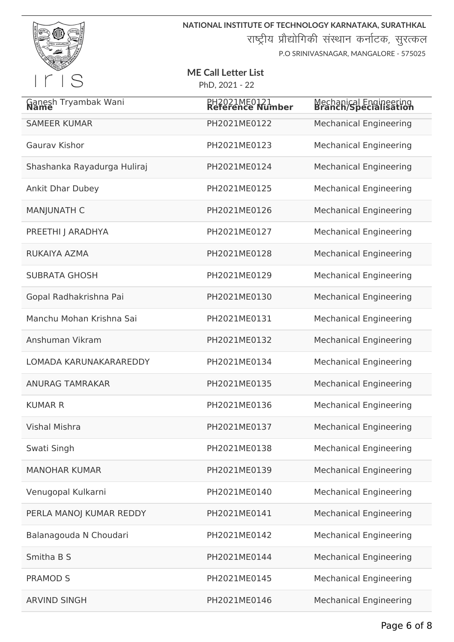

**NATIONAL INSTITUTE OF TECHNOLOGY KARNATAKA, SURATHKAL** राष्ट्रीय प्रौद्योगिकी संस्थान कर्नाटक, सुरत्कल

P.O SRINIVASNAGAR, MANGALORE - 575025

| Ganesh Tryambak Wani        | PH2021ME0121<br>Reference Number | Mechanical Engineering<br><b>Branch/Specialisation</b> |
|-----------------------------|----------------------------------|--------------------------------------------------------|
| <b>SAMEER KUMAR</b>         | PH2021ME0122                     | <b>Mechanical Engineering</b>                          |
| <b>Gaurav Kishor</b>        | PH2021ME0123                     | <b>Mechanical Engineering</b>                          |
| Shashanka Rayadurga Huliraj | PH2021ME0124                     | <b>Mechanical Engineering</b>                          |
| <b>Ankit Dhar Dubey</b>     | PH2021ME0125                     | <b>Mechanical Engineering</b>                          |
| <b>MANJUNATH C</b>          | PH2021ME0126                     | <b>Mechanical Engineering</b>                          |
| PREETHI J ARADHYA           | PH2021ME0127                     | <b>Mechanical Engineering</b>                          |
| RUKAIYA AZMA                | PH2021ME0128                     | <b>Mechanical Engineering</b>                          |
| <b>SUBRATA GHOSH</b>        | PH2021ME0129                     | <b>Mechanical Engineering</b>                          |
| Gopal Radhakrishna Pai      | PH2021ME0130                     | <b>Mechanical Engineering</b>                          |
| Manchu Mohan Krishna Sai    | PH2021ME0131                     | <b>Mechanical Engineering</b>                          |
| Anshuman Vikram             | PH2021ME0132                     | <b>Mechanical Engineering</b>                          |
| LOMADA KARUNAKARAREDDY      | PH2021ME0134                     | <b>Mechanical Engineering</b>                          |
| <b>ANURAG TAMRAKAR</b>      | PH2021ME0135                     | <b>Mechanical Engineering</b>                          |
| <b>KUMAR R</b>              | PH2021ME0136                     | <b>Mechanical Engineering</b>                          |
| <b>Vishal Mishra</b>        | PH2021ME0137                     | <b>Mechanical Engineering</b>                          |
| Swati Singh                 | PH2021ME0138                     | <b>Mechanical Engineering</b>                          |
| <b>MANOHAR KUMAR</b>        | PH2021ME0139                     | <b>Mechanical Engineering</b>                          |
| Venugopal Kulkarni          | PH2021ME0140                     | <b>Mechanical Engineering</b>                          |
| PERLA MANOJ KUMAR REDDY     | PH2021ME0141                     | <b>Mechanical Engineering</b>                          |
| Balanagouda N Choudari      | PH2021ME0142                     | <b>Mechanical Engineering</b>                          |
| Smitha B S                  | PH2021ME0144                     | <b>Mechanical Engineering</b>                          |
| <b>PRAMOD S</b>             | PH2021ME0145                     | <b>Mechanical Engineering</b>                          |
| <b>ARVIND SINGH</b>         | PH2021ME0146                     | <b>Mechanical Engineering</b>                          |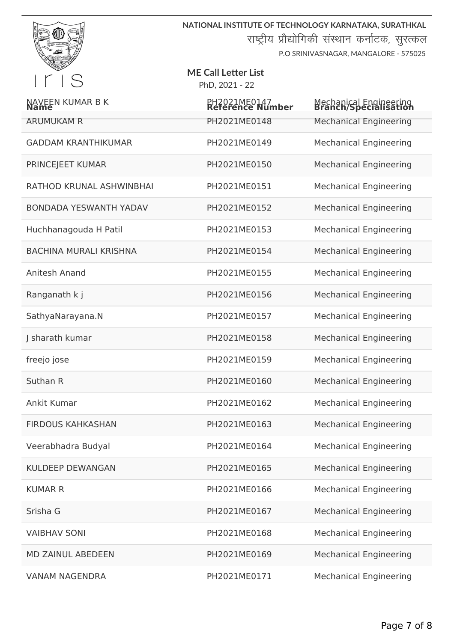

| NAVEEN KUMAR B K              | PH <sub>202</sub> 1ME0147<br>Reference Number | Mechanical Engineering<br><b>Branch/Specialisation</b> |
|-------------------------------|-----------------------------------------------|--------------------------------------------------------|
| <b>ARUMUKAM R</b>             | PH2021ME0148                                  | <b>Mechanical Engineering</b>                          |
| <b>GADDAM KRANTHIKUMAR</b>    | PH2021ME0149                                  | <b>Mechanical Engineering</b>                          |
| <b>PRINCEJEET KUMAR</b>       | PH2021ME0150                                  | <b>Mechanical Engineering</b>                          |
| RATHOD KRUNAL ASHWINBHAI      | PH2021ME0151                                  | <b>Mechanical Engineering</b>                          |
| <b>BONDADA YESWANTH YADAV</b> | PH2021ME0152                                  | <b>Mechanical Engineering</b>                          |
| Huchhanagouda H Patil         | PH2021ME0153                                  | <b>Mechanical Engineering</b>                          |
| <b>BACHINA MURALI KRISHNA</b> | PH2021ME0154                                  | <b>Mechanical Engineering</b>                          |
| Anitesh Anand                 | PH2021ME0155                                  | <b>Mechanical Engineering</b>                          |
| Ranganath k j                 | PH2021ME0156                                  | <b>Mechanical Engineering</b>                          |
| SathyaNarayana.N              | PH2021ME0157                                  | <b>Mechanical Engineering</b>                          |
| J sharath kumar               | PH2021ME0158                                  | <b>Mechanical Engineering</b>                          |
| freejo jose                   | PH2021ME0159                                  | <b>Mechanical Engineering</b>                          |
| Suthan R                      | PH2021ME0160                                  | <b>Mechanical Engineering</b>                          |
| Ankit Kumar                   | PH2021ME0162                                  | <b>Mechanical Engineering</b>                          |
| <b>FIRDOUS KAHKASHAN</b>      | PH2021ME0163                                  | <b>Mechanical Engineering</b>                          |
| Veerabhadra Budyal            | PH2021ME0164                                  | <b>Mechanical Engineering</b>                          |
| <b>KULDEEP DEWANGAN</b>       | PH2021ME0165                                  | <b>Mechanical Engineering</b>                          |
| <b>KUMAR R</b>                | PH2021ME0166                                  | <b>Mechanical Engineering</b>                          |
| Srisha G                      | PH2021ME0167                                  | <b>Mechanical Engineering</b>                          |
| <b>VAIBHAV SONI</b>           | PH2021ME0168                                  | <b>Mechanical Engineering</b>                          |
| <b>MD ZAINUL ABEDEEN</b>      | PH2021ME0169                                  | <b>Mechanical Engineering</b>                          |
| <b>VANAM NAGENDRA</b>         | PH2021ME0171                                  | <b>Mechanical Engineering</b>                          |